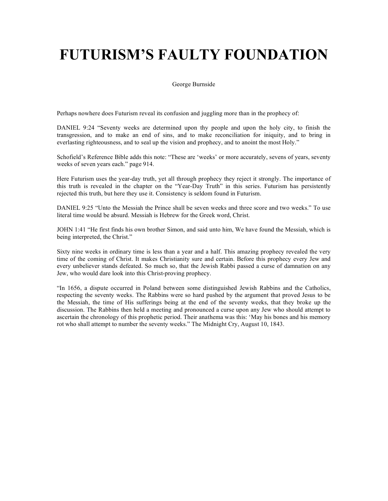George Burnside

Perhaps nowhere does Futurism reveal its confusion and juggling more than in the prophecy of:

DANIEL 9:24 "Seventy weeks are determined upon thy people and upon the holy city, to finish the transgression, and to make an end of sins, and to make reconciliation for iniquity, and to bring in everlasting righteousness, and to seal up the vision and prophecy, and to anoint the most Holy."

Schofield's Reference Bible adds this note: "These are 'weeks' or more accurately, sevens of years, seventy weeks of seven years each." page 914.

Here Futurism uses the year-day truth, yet all through prophecy they reject it strongly. The importance of this truth is revealed in the chapter on the "Year-Day Truth" in this series. Futurism has persistently rejected this truth, but here they use it. Consistency is seldom found in Futurism.

DANIEL 9:25 "Unto the Messiah the Prince shall be seven weeks and three score and two weeks." To use literal time would be absurd. Messiah is Hebrew for the Greek word, Christ.

JOHN 1:41 "He first finds his own brother Simon, and said unto him, We have found the Messiah, which is being interpreted, the Christ."

Sixty nine weeks in ordinary time is less than a year and a half. This amazing prophecy revealed the very time of the coming of Christ. It makes Christianity sure and certain. Before this prophecy every Jew and every unbeliever stands defeated. So much so, that the Jewish Rabbi passed a curse of damnation on any Jew, who would dare look into this Christ-proving prophecy.

"In 1656, a dispute occurred in Poland between some distinguished Jewish Rabbins and the Catholics, respecting the seventy weeks. The Rabbins were so hard pushed by the argument that proved Jesus to be the Messiah, the time of His sufferings being at the end of the seventy weeks, that they broke up the discussion. The Rabbins then held a meeting and pronounced a curse upon any Jew who should attempt to ascertain the chronology of this prophetic period. Their anathema was this: 'May his bones and his memory rot who shall attempt to number the seventy weeks." The Midnight Cry, August 10, 1843.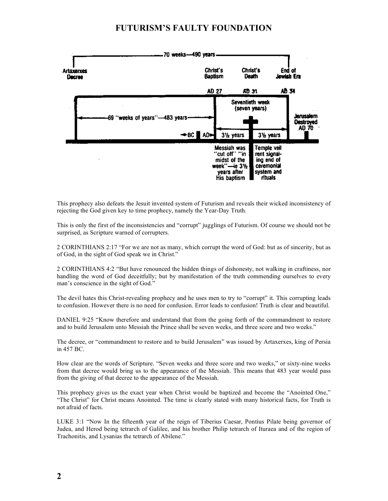

This prophecy also defeats the Jesuit invented system of Futurism and reveals their wicked inconsistency of rejecting the God given key to time prophecy, namely the Year-Day Truth.

This is only the first of the inconsistencies and "corrupt" jugglings of Futurism. Of course we should not be surprised, as Scripture warned of corrupters.

2 CORINTHIANS 2:17 "For we are not as many, which corrupt the word of God: but as of sincerity, but as of God, in the sight of God speak we in Christ."

2 CORINTHIANS 4:2 "But have renounced the hidden things of dishonesty, not walking in craftiness, nor handling the word of God deceitfully; but by manifestation of the truth commending ourselves to every man's conscience in the sight of God."

The devil hates this Christ-revealing prophecy and he uses men to try to "corrupt" it. This corrupting leads to confusion. However there is no need for confusion. Error leads to confusion! Truth is clear and beautiful.

DANIEL 9:25 "Know therefore and understand that from the going forth of the commandment to restore and to build Jerusalem unto Messiah the Prince shall be seven weeks, and three score and two weeks."

The decree, or "commandment to restore and to build Jerusalem" was issued by Artaxerxes, king of Persia in 457 BC.

How clear are the words of Scripture. "Seven weeks and three score and two weeks," or sixty-nine weeks from that decree would bring us to the appearance of the Messiah. This means that 483 year would pass from the giving of that decree to the appearance of the Messiah.

This prophecy gives us the exact year when Christ would be baptized and become the "Anointed One," "The Christ" for Christ means Anointed. The time is clearly stated with many historical facts, for Truth is not afraid of facts.

LUKE 3:1 "Now In the fifteenth year of the reign of Tiberius Caesar, Pontius Pilate being governor of Judea, and Herod being tetrarch of Galilee, and his brother Philip tetrarch of Ituraea and of the region of Trachonitis, and Lysanias the tetrarch of Abilene."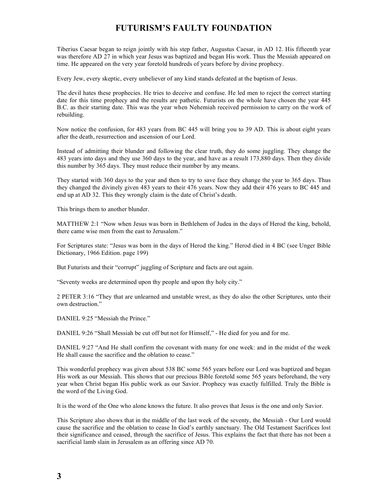Tiberius Caesar began to reign jointly with his step father, Augustus Caesar, in AD 12. His fifteenth year was therefore AD 27 in which year Jesus was baptized and began His work. Thus the Messiah appeared on time. He appeared on the very year foretold hundreds of years before by divine prophecy.

Every Jew, every skeptic, every unbeliever of any kind stands defeated at the baptism of Jesus.

The devil hates these prophecies. He tries to deceive and confuse. He led men to reject the correct starting date for this time prophecy and the results are pathetic. Futurists on the whole have chosen the year 445 B.C. as their starting date. This was the year when Nehemiah received permission to carry on the work of rebuilding.

Now notice the confusion, for 483 years from BC 445 will bring you to 39 AD. This is about eight years after the death, resurrection and ascension of our Lord.

Instead of admitting their blunder and following the clear truth, they do some juggling. They change the 483 years into days and they use 360 days to the year, and have as a result 173,880 days. Then they divide this number by 365 days. They must reduce their number by any means.

They started with 360 days to the year and then to try to save face they change the year to 365 days. Thus they changed the divinely given 483 years to their 476 years. Now they add their 476 years to BC 445 and end up at AD 32. This they wrongly claim is the date of Christ's death.

This brings them to another blunder.

MATTHEW 2:1 "Now when Jesus was born in Bethlehem of Judea in the days of Herod the king, behold, there came wise men from the east to Jerusalem."

For Scriptures state: "Jesus was born in the days of Herod the king." Herod died in 4 BC (see Unger Bible Dictionary, 1966 Edition. page 199)

But Futurists and their "corrupt" juggling of Scripture and facts are out again.

"Seventy weeks are determined upon thy people and upon thy holy city."

2 PETER 3:16 "They that are unlearned and unstable wrest, as they do also the other Scriptures, unto their own destruction."

DANIEL 9:25 "Messiah the Prince."

DANIEL 9:26 "Shall Messiah be cut off but not for Himself," - He died for you and for me.

DANIEL 9:27 "And He shall confirm the covenant with many for one week: and in the midst of the week He shall cause the sacrifice and the oblation to cease."

This wonderful prophecy was given about 538 BC some 565 years before our Lord was baptized and began His work as our Messiah. This shows that our precious Bible foretold some 565 years beforehand, the very year when Christ began His public work as our Savior. Prophecy was exactly fulfilled. Truly the Bible is the word of the Living God.

It is the word of the One who alone knows the future. It also proves that Jesus is the one and only Savior.

This Scripture also shows that in the middle of the last week of the seventy, the Messiah - Our Lord would cause the sacrifice and the oblation to cease In God's earthly sanctuary. The Old Testament Sacrifices lost their significance and ceased, through the sacrifice of Jesus. This explains the fact that there has not been a sacrificial lamb slain in Jerusalem as an offering since AD 70.